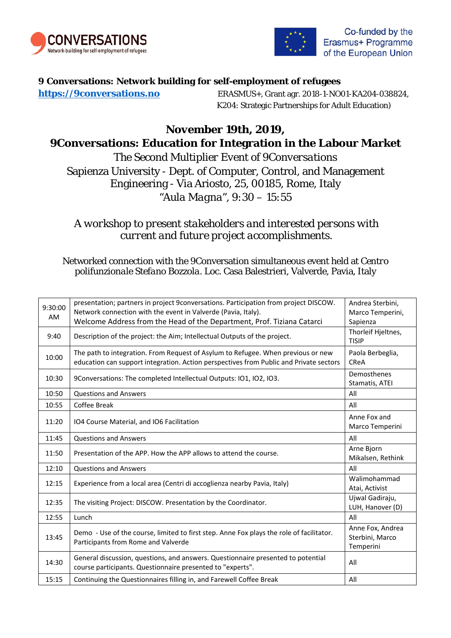



## **9 Conversations: Network building for self-employment of refugees**

**https://9conversations.no** ERASMUS+, Grant agr. 2018-1-NO01-KA204-038824, K204: Strategic Partnerships for Adult Education)

# *November 19th, 2019,* **9Conversations: Education for Integration in the Labour Market**

*The Second Multiplier Event of 9Conversations* Sapienza University - Dept. of Computer, Control, and Management Engineering - Via Ariosto, 25, 00185, Rome, Italy *"Aula Magna", 9:30 – 15:55*

# *A workshop to present stakeholders and interested persons with current and future project accomplishments.*

## Networked connection with the 9Conversation simultaneous event held at *Centro polifunzionale Stefano Bozzola*. Loc. Casa Balestrieri, Valverde, Pavia, Italy

| 9:30:00<br>AM. | presentation; partners in project 9conversations. Participation from project DISCOW.<br>Network connection with the event in Valverde (Pavia, Italy).<br>Welcome Address from the Head of the Department, Prof. Tiziana Catarci | Andrea Sterbini,<br>Marco Temperini,<br>Sapienza |
|----------------|---------------------------------------------------------------------------------------------------------------------------------------------------------------------------------------------------------------------------------|--------------------------------------------------|
| 9:40           | Description of the project: the Aim; Intellectual Outputs of the project.                                                                                                                                                       | Thorleif Hjeltnes,<br><b>TISIP</b>               |
| 10:00          | The path to integration. From Request of Asylum to Refugee. When previous or new<br>education can support integration. Action perspectives from Public and Private sectors                                                      | Paola Berbeglia,<br><b>CReA</b>                  |
| 10:30          | 9Conversations: The completed Intellectual Outputs: IO1, IO2, IO3.                                                                                                                                                              | Demosthenes<br>Stamatis, ATEI                    |
| 10:50          | <b>Questions and Answers</b>                                                                                                                                                                                                    | All                                              |
| 10:55          | Coffee Break                                                                                                                                                                                                                    | All                                              |
| 11:20          | IO4 Course Material, and IO6 Facilitation                                                                                                                                                                                       | Anne Fox and<br>Marco Temperini                  |
| 11:45          | <b>Questions and Answers</b>                                                                                                                                                                                                    | All                                              |
| 11:50          | Presentation of the APP. How the APP allows to attend the course.                                                                                                                                                               | Arne Bjorn<br>Mikalsen, Rethink                  |
| 12:10          | <b>Questions and Answers</b>                                                                                                                                                                                                    | All                                              |
| 12:15          | Experience from a local area (Centri di accoglienza nearby Pavia, Italy)                                                                                                                                                        | Walimohammad<br>Atai, Activist                   |
| 12:35          | The visiting Project: DISCOW. Presentation by the Coordinator.                                                                                                                                                                  | Ujwal Gadiraju,<br>LUH, Hanover (D)              |
| 12:55          | Lunch                                                                                                                                                                                                                           | All                                              |
| 13:45          | Demo - Use of the course, limited to first step. Anne Fox plays the role of facilitator.<br>Participants from Rome and Valverde                                                                                                 | Anne Fox, Andrea<br>Sterbini, Marco<br>Temperini |
| 14:30          | General discussion, questions, and answers. Questionnaire presented to potential<br>course participants. Questionnaire presented to "experts".                                                                                  | All                                              |
| 15:15          | Continuing the Questionnaires filling in, and Farewell Coffee Break                                                                                                                                                             | All                                              |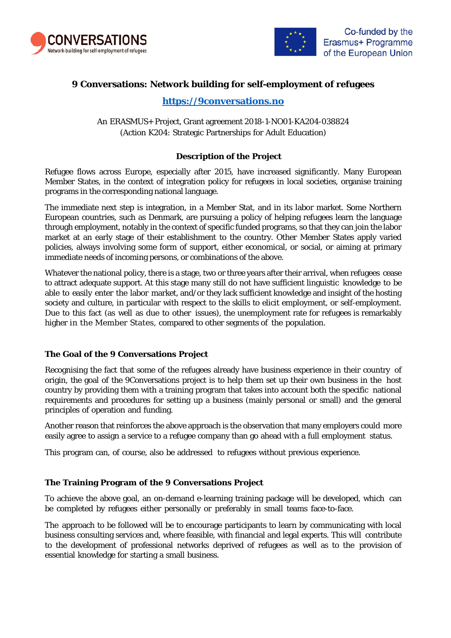



### **9 Conversations: Network building for self-employment of refugees**

## **https://9conversations.no**

An ERASMUS+ Project, Grant agreement 2018-1-NO01-KA204-038824 (Action K204: Strategic Partnerships for Adult Education)

#### **Description of the Project**

Refugee flows across Europe, especially after 2015, have increased significantly. Many European Member States, in the context of integration policy for refugees in local societies, organise training programs in the corresponding national language.

The immediate next step is integration, in a Member Stat, and in its labor market. Some Northern European countries, such as Denmark, are pursuing a policy of helping refugees learn the language through employment, notably in the context of specific funded programs, so that they can join the labor market at an early stage of their establishment to the country. Other Member States apply varied policies, always involving some form of support, either economical, or social, or aiming at primary immediate needs of incoming persons, or combinations of the above.

Whatever the national policy, there is a stage, two or three years after their arrival, when refugees cease to attract adequate support. At this stage many still do not have sufficient linguistic knowledge to be able to easily enter the labor market, and/or they lack sufficient knowledge and insight of the hosting society and culture, in particular with respect to the skills to elicit employment, or self-employment. Due to this fact (as well as due to other issues), the unemployment rate for refugees is remarkably higher in the Member States, compared to other segments of the population.

#### **The Goal of the 9 Conversations Project**

Recognising the fact that some of the refugees already have business experience in their country of origin, the goal of the 9Conversations project is to help them set up their own business in the host country by providing them with a training program that takes into account both the specific national requirements and procedures for setting up a business (mainly personal or small) and the general principles of operation and funding.

Another reason that reinforces the above approach is the observation that many employers could more easily agree to assign a service to a refugee company than go ahead with a full employment status.

This program can, of course, also be addressed to refugees without previous experience.

#### **The Training Program of the 9 Conversations Project**

To achieve the above goal, an on-demand e-learning training package will be developed, which can be completed by refugees either personally or preferably in small teams face-to-face.

The approach to be followed will be to encourage participants to learn by communicating with local business consulting services and, where feasible, with financial and legal experts. This will contribute to the development of professional networks deprived of refugees as well as to the provision of essential knowledge for starting a small business.